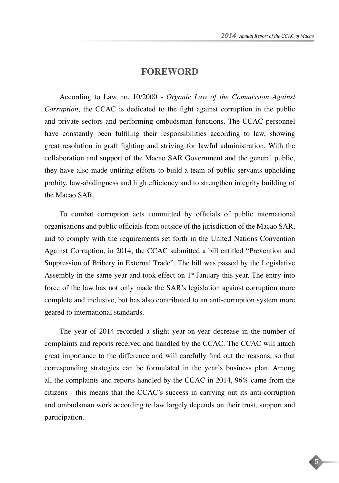5

## **FOREWORD**

According to Law no. 10/2000 - *Organic Law of the Commission Against Corruption*, the CCAC is dedicated to the fight against corruption in the public and private sectors and performing ombudsman functions. The CCAC personnel have constantly been fulfiling their responsibilities according to law, showing great resolution in graft fighting and striving for lawful administration. With the collaboration and support of the Macao SAR Government and the general public, they have also made untiring efforts to build a team of public servants upholding probity, law-abidingness and high efficiency and to strengthen integrity building of the Macao SAR.

To combat corruption acts committed by officials of public international organisations and public officials from outside of the jurisdiction of the Macao SAR, and to comply with the requirements set forth in the United Nations Convention Against Corruption, in 2014, the CCAC submitted a bill entitled "Prevention and Suppression of Bribery in External Trade". The bill was passed by the Legislative Assembly in the same year and took effect on  $1<sup>st</sup>$  January this year. The entry into force of the law has not only made the SAR's legislation against corruption more complete and inclusive, but has also contributed to an anti-corruption system more geared to international standards.

The year of 2014 recorded a slight year-on-year decrease in the number of complaints and reports received and handled by the CCAC. The CCAC will attach great importance to the difference and will carefully find out the reasons, so that corresponding strategies can be formulated in the year's business plan. Among all the complaints and reports handled by the CCAC in 2014, 96% came from the citizens - this means that the CCAC's success in carrying out its anti-corruption and ombudsman work according to law largely depends on their trust, support and participation.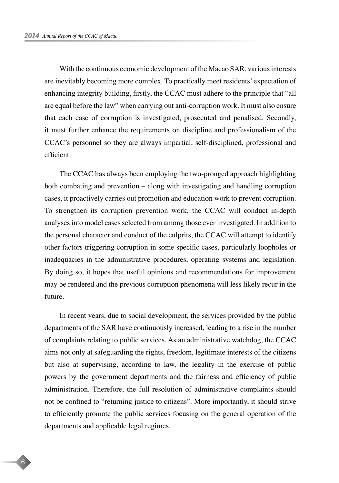With the continuous economic development of the Macao SAR, various interests are inevitably becoming more complex. To practically meet residents' expectation of enhancing integrity building, firstly, the CCAC must adhere to the principle that "all are equal before the law" when carrying out anti-corruption work. It must also ensure that each case of corruption is investigated, prosecuted and penalised. Secondly, it must further enhance the requirements on discipline and professionalism of the CCAC's personnel so they are always impartial, self-disciplined, professional and efficient.

The CCAC has always been employing the two-pronged approach highlighting both combating and prevention – along with investigating and handling corruption cases, it proactively carries out promotion and education work to prevent corruption. To strengthen its corruption prevention work, the CCAC will conduct in-depth analyses into model cases selected from among those ever investigated. In addition to the personal character and conduct of the culprits, the CCAC will attempt to identify other factors triggering corruption in some specific cases, particularly loopholes or inadequacies in the administrative procedures, operating systems and legislation. By doing so, it hopes that useful opinions and recommendations for improvement may be rendered and the previous corruption phenomena will less likely recur in the future.

In recent years, due to social development, the services provided by the public departments of the SAR have continuously increased, leading to a rise in the number of complaints relating to public services. As an administrative watchdog, the CCAC aims not only at safeguarding the rights, freedom, legitimate interests of the citizens but also at supervising, according to law, the legality in the exercise of public powers by the government departments and the fairness and efficiency of public administration. Therefore, the full resolution of administrative complaints should not be confined to "returning justice to citizens". More importantly, it should strive to efficiently promote the public services focusing on the general operation of the departments and applicable legal regimes.